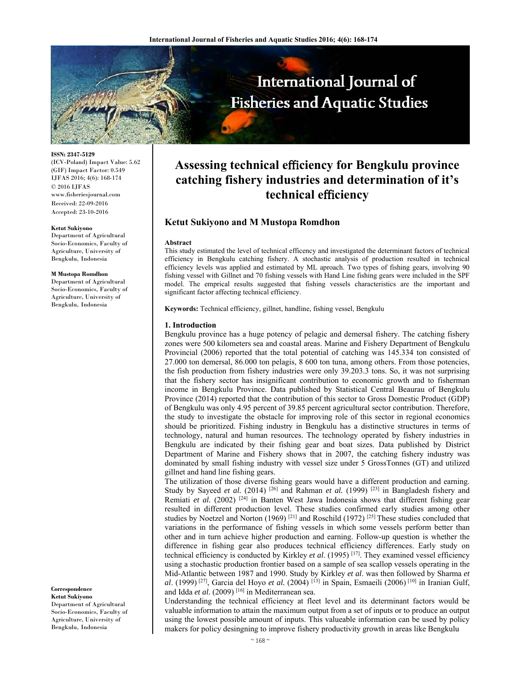

**ISSN: 2347-5129** 

(ICV-Poland) Impact Value: 5.62 (GIF) Impact Factor: 0.549 IJFAS 2016; 4(6): 168-174 © 2016 IJFAS www.fisheriesjournal.com Received: 22-09-2016 Accepted: 23-10-2016

#### **Ketut Sukiyono**

Department of Agricultural Socio-Economics, Faculty of Agriculture, University of Bengkulu, Indonesia

#### **M Mustopa Romdhon**

Department of Agricultural Socio-Economics, Faculty of Agriculture, University of Bengkulu, Indonesia

**Correspondence** 

**Ketut Sukiyono**  Department of Agricultural Socio-Economics, Faculty of Agriculture, University of Bengkulu, Indonesia

# **Assessing technical e**ffi**ciency for Bengkulu province catching fishery industries and determination of it's technical e**ffi**ciency**

# **Ketut Sukiyono and M Mustopa Romdhon**

#### **Abstract**

This study estimated the level of technical efficency and investigated the determinant factors of technical efficiency in Bengkulu catching fishery. A stochastic analysis of production resulted in technical efficiency levels was applied and estimated by ML aproach. Two types of fishing gears, involving 90 fishing vessel with Gillnet and 70 fishing vessels with Hand Line fishing gears were included in the SPF model. The emprical results suggested that fishing vessels characteristics are the important and significant factor affecting technical efficiency.

**Keywords:** Technical efficiency, gillnet, handline, fishing vessel, Bengkulu

#### **1. Introduction**

Bengkulu province has a huge potency of pelagic and demersal fishery. The catching fishery zones were 500 kilometers sea and coastal areas. Marine and Fishery Department of Bengkulu Provincial (2006) reported that the total potential of catching was 145.334 ton consisted of 27.000 ton demersal, 86.000 ton pelagis, 8 600 ton tuna, among others. From those potencies, the fish production from fishery industries were only 39.203.3 tons. So, it was not surprising that the fishery sector has insignificant contribution to economic growth and to fisherman income in Bengkulu Province. Data published by Statistical Central Beaurau of Bengkulu Province (2014) reported that the contribution of this sector to Gross Domestic Product (GDP) of Bengkulu was only 4.95 percent of 39.85 percent agricultural sector contribution. Therefore, the study to investigate the obstacle for improving role of this sector in regional economics should be prioritized. Fishing industry in Bengkulu has a distinctive structures in terms of technology, natural and human resources. The technology operated by fishery industries in Bengkulu are indicated by their fishing gear and boat sizes. Data published by District Department of Marine and Fishery shows that in 2007, the catching fishery industry was dominated by small fishing industry with vessel size under 5 GrossTonnes (GT) and utilized gillnet and hand line fishing gears.

The utilization of those diverse fishing gears would have a different production and earning. Study by Sayeed *et al.* (2014) <sup>[26]</sup> and Rahman *et al.* (1999) <sup>[23]</sup> in Bangladesh fishery and Remiati *et al.* (2002)<sup>[24]</sup> in Banten West Jawa Indonesia shows that different fishing gear resulted in different production level. These studies confirmed early studies among other studies by Noetzel and Norton (1969)<sup>[21]</sup> and Roschild (1972)<sup>[25]</sup> These studies concluded that variations in the performance of fishing vessels in which some vessels perform better than other and in turn achieve higher production and earning. Follow-up question is whether the difference in fishing gear also produces technical efficiency differences. Early study on technical efficiency is conducted by Kirkley *et al*. (1995) [17]. They examined vessel efficiency using a stochastic production frontier based on a sample of sea scallop vessels operating in the Mid-Atlantic between 1987 and 1990. Study by Kirkley *et al*. was then followed by Sharma *et al*. (1999) [27], Garcia del Hoyo *et al.* (2004) [13] in Spain, Esmaeili (2006) [10] in Iranian Gulf, and Idda et al. (2009)<sup>[16]</sup> in Mediterranean sea.

Understanding the technical efficiency at fleet level and its determinant factors would be valuable information to attain the maximum output from a set of inputs or to produce an output using the lowest possible amount of inputs. This valueable information can be used by policy makers for policy desingning to improve fishery productivity growth in areas like Bengkulu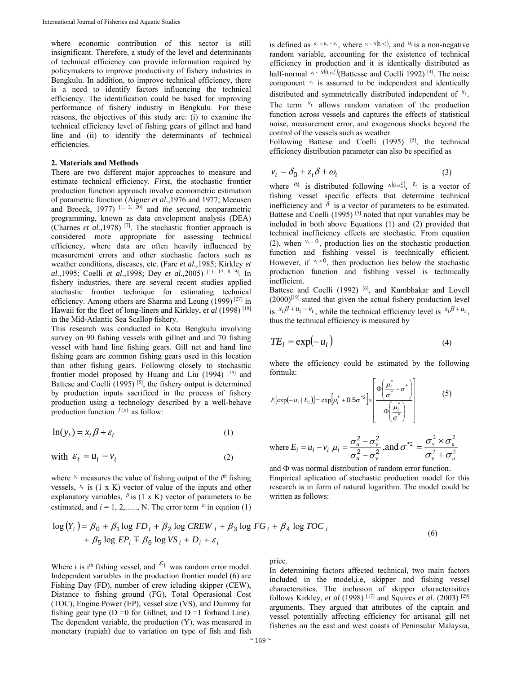where economic contribution of this sector is still insignificant. Therefore, a study of the level and determinants of technical efficiency can provide information required by policymakers to improve productivity of fishery industries in Bengkulu. In addition, to improve technical efficiency, there is a need to identify factors influencing the technical efficiency. The identification could be based for improving performance of fishery industry in Bengkulu. For these reasons, the objectives of this study are: (i) to examine the technical efficiency level of fishing gears of gillnet and hand line and (ii) to identify the determinants of technical efficiencies.

## **2. Materials and Methods**

There are two different major approaches to measure and estimate technical efficiency. *First*, the stochastic frontier production function approach involve econometric estimation of parametric function (Aigner *et al.,*1976 and 1977; Meeusen and Broeck, 1977) [1, 2, 20] and *the second*, nonparametric programming, known as data envelopment analysis (DEA) (Charnes *et al.,*1978) [7]. The stochastic frontier approach is considered more appropriate for assessing technical efficiency, where data are often heavily influenced by measurement errors and other stochastic factors such as weather conditions, diseases, etc. (Fare *et al.,*1985; Kirkley *et al.,*1995; Coelli *et al*.,1998; Dey *et al.,*2005) [11, 17, 8, 9]. In fishery industries, there are several recent studies applied stochastic frontier technique for estimating technical efficiency. Among others are Sharma and Leung (1999)  $[27]$  in Hawaii for the fleet of long-liners and Kirkley, *et al* (1998) [18] in the Mid-Atlantic Sea Scallop fishery.

This research was conducted in Kota Bengkulu involving survey on 90 fishing vessels with gillnet and and 70 fishing vessel with hand line fishing gears. Gill net and hand line fishing gears are common fishing gears used in this location than other fishing gears. Following closely to stochasitic frontier model proposed by Huang and Liu (1994) [15] and Battese and Coelli  $(1995)$  [5], the fishery output is determined by production inputs sacrificed in the process of fishery production using a technology described by a well-behave production function  $f(x)$  as follow:

$$
\ln(y_t) = x_t \beta + \varepsilon_t \tag{1}
$$

with 
$$
\varepsilon_t = u_t - v_t
$$
 (2)

where  $y_t$  measures the value of fishing output of the  $i^{th}$  fishing vessels,  $x_t$  is (1 x K) vector of value of the inputs and other explanatory variables,  $\beta$  is (1 x K) vector of parameters to be estimated, and  $i = 1, 2, \dots, N$ . The error term  $\epsilon_i$  in eqution (1)

is defined as  $\varepsilon_t = u_t - v_t$ , where  $v_t \sim N(0, \sigma_v^2)$ , and  $u_t$  is a non-negative random variable, accounting for the existence of technical efficiency in production and it is identically distributed as half-normal  $v_t \sim N(0, \sigma_v^2)$  (Battesse and Coelli 1992) <sup>[4]</sup>. The noise component  $v_t$  is assumed to be independent and identically distributed and symmetrically distributed independent of *ut .* The term  $v_t$  allows random variation of the production function across vessels and captures the effects of statistical noise, measurement error, and exogenous shocks beyond the control of the vessels such as weather.

Following Battese and Coelli  $(1995)$  <sup>[5]</sup>, the technical efficiency distribution parameter can also be specified as

$$
v_t = \delta_0 + z_t \delta + \omega_t \tag{3}
$$

where  $\omega_t$  is distributed following  $N(0, \sigma_w^2)$ ,  $z_t$  is a vector of fishing vessel specific effects that determine technical inefficiency and  $\delta$  is a vector of parameters to be estimated. Battese and Coelli (1995)<sup>[5]</sup> noted that nput variables may be included in both above Equations (1) and (2) provided that technical inefficiency effects are stochastic. From equation (2), when  $v_t = 0$ , production lies on the stochastic production function and fishhing vessel is teechnically efficient. However, if  $v_t > 0$ , then production lies below the stochastic production function and fishhing vessel is technically inefficient.

Battese and Coelli (1992) <sup>[6]</sup>, and Kumbhakar and Lovell  $(2000)^{[19]}$  stated that given the actual fishery production level is  $x_i \beta + u_t - v_t$ , while the technical efficiency level is  $x_i \beta + u_t$ . thus the technical efficiency is measured by

$$
TE_i = \exp(-u_i) \tag{4}
$$

where the efficiency could be estimated by the following formula:

$$
E[\exp(-u_i \mid E_i)] = \exp[u_i^* + 0.5\sigma^{*2}] \times \left[\frac{\Phi\left(\frac{\mu_i^*}{\sigma^*} - \sigma^*\right)}{\Phi\left(\frac{\mu_i^*}{\sigma^*}\right)}\right]
$$
(5)

where 
$$
E_i = u_i - v_i
$$
,  $\mu_i = \frac{\sigma_u^2 - \sigma_v^2}{\sigma_u^2 - \sigma_v^2}$ , and  $\sigma^{*2} = \frac{\sigma_v^2 \times \sigma_u^2}{\sigma_v^2 + \sigma_u^2}$ 

and Ф was normal distribution of random error function. Empirical aplication of stochastic production model for this research is in form of natural logarithm. The model could be written as follows:

$$
\log(Y_i) = \beta_0 + \beta_1 \log FD_i + \beta_2 \log CREW_i + \beta_3 \log FG_i + \beta_4 \log TOC_i
$$
  
+  $\beta_5 \log EP_i \mp \beta_6 \log VS_i + D_i + \varepsilon_i$  (6)

Where i is i<sup>th</sup> fishing vessel, and  $\varepsilon_i$  was random error model. Independent variables in the production frontier model (6) are Fishing Day (FD), number of crew icluding skipper (CEW), Distance to fishing ground (FG), Total Operasional Cost (TOC), Engine Power (EP), vessel size (VS), and Dummy for fishing gear type  $(D = 0$  for Gillnet, and  $D = 1$  forhand Line). The dependent variable, the production (Y), was measured in monetary (rupiah) due to variation on type of fish and fish

price.

In determining factors affected technical, two main factors included in the model,i.e, skipper and fishing vessel charactersitics. The inclusion of skipper characterisitics follows Kirkley, *et al* (1998) [17] and Squires *et al*. (2003) [29] arguments. They argued that attributes of the captain and vessel potentially affecting efficiency for artisanal gill net fisheries on the east and west coasts of Peninsular Malaysia,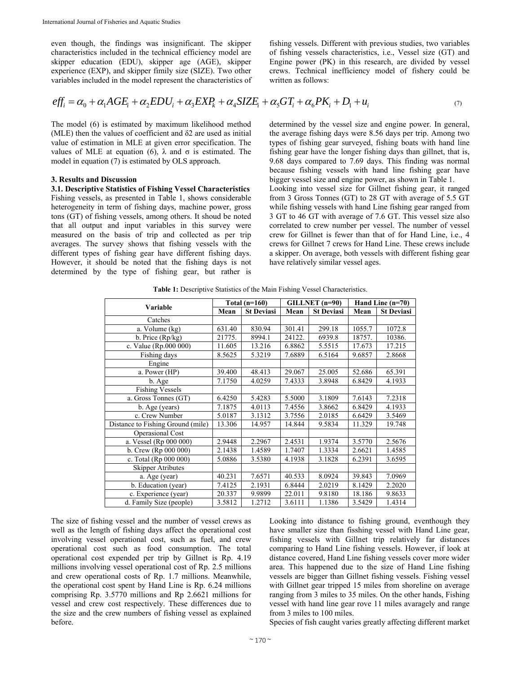even though, the findings was insignificant. The skipper characteristics included in the technical efficiency model are skipper education (EDU), skipper age (AGE), skipper experience (EXP), and skipper fimily size (SIZE). Two other variables included in the model represent the characteristics of fishing vessels. Different with previous studies, two variables of fishing vessels characteristics, i.e., Vessel size (GT) and Engine power (PK) in this research, are divided by vessel crews. Technical inefficiency model of fishery could be written as follows:

$$
eff_i = \alpha_0 + \alpha_1 AGE_i + \alpha_2 EDU_i + \alpha_3 EXP_k + \alpha_4 SIZE_i + \alpha_5 GT_i + \alpha_6 PK_i + D_1 + u_i
$$
\n<sup>(7)</sup>

The model (6) is estimated by maximum likelihood method (MLE) then the values of coefficient and  $\delta$ 2 are used as initial value of estimation in MLE at given error specification. The values of MLE at equation (6),  $\lambda$  and σ is estimated. The model in equation (7) is estimated by OLS approach.

## **3. Results and Discussion**

**3.1. Descriptive Statistics of Fishing Vessel Characteristics**  Fishing vessels, as presented in Table 1, shows considerable heterogeneity in term of fishing days, machine power, gross tons (GT) of fishing vessels, among others. It shoud be noted that all output and input variables in this survey were measured on the basis of trip and collected as per trip averages. The survey shows that fishing vessels with the different types of fishing gear have different fishing days. However, it should be noted that the fishing days is not determined by the type of fishing gear, but rather is

determined by the vessel size and engine power. In general, the average fishing days were 8.56 days per trip. Among two types of fishing gear surveyed, fishing boats with hand line fishing gear have the longer fishing days than gillnet, that is, 9.68 days compared to 7.69 days. This finding was normal because fishing vessels with hand line fishing gear have bigger vessel size and engine power, as shown in Table 1.

Looking into vessel size for Gillnet fishing gear, it ranged from 3 Gross Tonnes (GT) to 28 GT with average of 5.5 GT while fishing vessels with hand Line fishing gear ranged from 3 GT to 46 GT with average of 7.6 GT. This vessel size also correlated to crew number per vessel. The number of vessel crew for Gillnet is fewer than that of for Hand Line, i.e., 4 crews for Gillnet 7 crews for Hand Line. These crews include a skipper. On average, both vessels with different fishing gear have relatively similar vessel ages.

**Table 1:** Descriptive Statistics of the Main Fishing Vessel Characteristics.

|                                   | Total $(n=160)$ |                   | GILLNET (n=90) |                   | Hand Line $(n=70)$ |                   |
|-----------------------------------|-----------------|-------------------|----------------|-------------------|--------------------|-------------------|
| Variable                          | Mean            | <b>St Deviasi</b> | Mean           | <b>St Deviasi</b> | Mean               | <b>St Deviasi</b> |
| Catches                           |                 |                   |                |                   |                    |                   |
| a. Volume (kg)                    | 631.40          | 830.94            | 301.41         | 299.18            | 1055.7             | 1072.8            |
| b. Price (Rp/kg)                  | 21775.          | 8994.1            | 24122.         | 6939.8            | 18757.             | 10386.            |
| c. Value (Rp.000 000)             | 11.605          | 13.216            | 6.8862         | 5.5515            | 17.673             | 17.215            |
| Fishing days                      | 8.5625          | 5.3219            | 7.6889         | 6.5164            | 9.6857             | 2.8668            |
| Engine                            |                 |                   |                |                   |                    |                   |
| a. Power (HP)                     | 39.400          | 48.413            | 29.067         | 25.005            | 52.686             | 65.391            |
| b. Age                            | 7.1750          | 4.0259            | 7.4333         | 3.8948            | 6.8429             | 4.1933            |
| <b>Fishing Vessels</b>            |                 |                   |                |                   |                    |                   |
| a. Gross Tonnes (GT)              | 6.4250          | 5.4283            | 5.5000         | 3.1809            | 7.6143             | 7.2318            |
| b. Age (years)                    | 7.1875          | 4.0113            | 7.4556         | 3.8662            | 6.8429             | 4.1933            |
| c. Crew Number                    | 5.0187          | 3.1312            | 3.7556         | 2.0185            | 6.6429             | 3.5469            |
| Distance to Fishing Ground (mile) | 13.306          | 14.957            | 14.844         | 9.5834            | 11.329             | 19.748            |
| Operasional Cost                  |                 |                   |                |                   |                    |                   |
| a. Vessel (Rp 000 000)            | 2.9448          | 2.2967            | 2.4531         | 1.9374            | 3.5770             | 2.5676            |
| b. Crew (Rp $000 000$ )           | 2.1438          | 1.4589            | 1.7407         | 1.3334            | 2.6621             | 1.4585            |
| c. Total (Rp 000 000)             | 5.0886          | 3.5380            | 4.1938         | 3.1828            | 6.2391             | 3.6595            |
| <b>Skipper Atributes</b>          |                 |                   |                |                   |                    |                   |
| a. Age (year)                     | 40.231          | 7.6571            | 40.533         | 8.0924            | 39.843             | 7.0969            |
| $\overline{b}$ . Education (year) | 7.4125          | 2.1931            | 6.8444         | 2.0219            | 8.1429             | 2.2020            |
| c. Experience (year)              | 20.337          | 9.9899            | 22.011         | 9.8180            | 18.186             | 9.8633            |
| d. Family Size (people)           | 3.5812          | 1.2712            | 3.6111         | 1.1386            | 3.5429             | 1.4314            |

The size of fishing vessel and the number of vessel crews as well as the length of fishing days affect the operational cost involving vessel operational cost, such as fuel, and crew operational cost such as food consumption. The total operational cost expended per trip by Gillnet is Rp. 4.19 millions involving vessel operational cost of Rp. 2.5 millions and crew operational costs of Rp. 1.7 millions. Meanwhile, the operational cost spent by Hand Line is Rp. 6.24 millions comprising Rp. 3.5770 millions and Rp 2.6621 millions for vessel and crew cost respectively. These differences due to the size and the crew numbers of fishing vessel as explained before.

Looking into distance to fishing ground, eventhough they have smaller size than fisshing vessel with Hand Line gear, fishing vessels with Gillnet trip relatively far distances comparing to Hand Line fishing vessels. However, if look at distance covered, Hand Line fishing vessels cover more wider area. This happened due to the size of Hand Line fishing vessels are bigger than Gillnet fishing vessels. Fishing vessel with Gillnet gear tripped 15 miles from shoreline on average ranging from 3 miles to 35 miles. On the other hands, Fishing vessel with hand line gear rove 11 miles avaragely and range from 3 miles to 100 miles.

Species of fish caught varies greatly affecting different market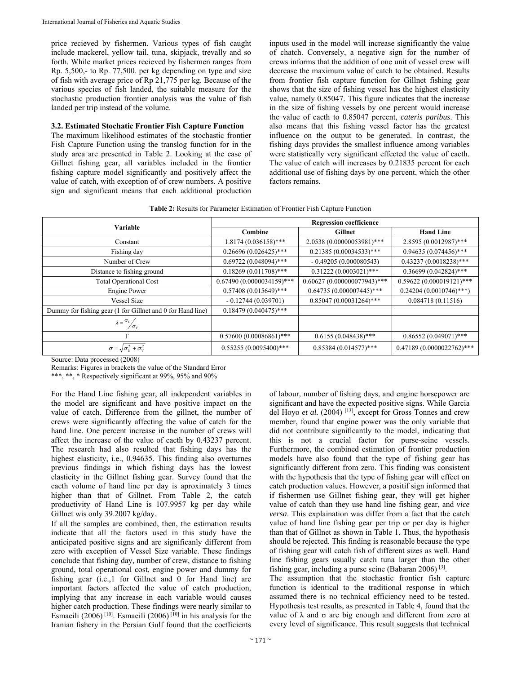price recieved by fishermen. Various types of fish caught include mackerel, yellow tail, tuna, skipjack, trevally and so forth. While market prices recieved by fishermen ranges from Rp. 5,500,- to Rp. 77,500. per kg depending on type and size of fish with average price of Rp 21,775 per kg. Because of the various species of fish landed, the suitable measure for the stochastic production frontier analysis was the value of fish landed per trip instead of the volume.

## **3.2. Estimated Stochatic Frontier Fish Capture Function**

The maximum likelihood estimates of the stochastic frontier Fish Capture Function using the translog function for in the study area are presented in Table 2. Looking at the case of Gillnet fishing gear, all variables included in the frontier fishing capture model significantly and positively affect the value of catch, with exception of of crew numbers. A positive sign and significant means that each additional production

inputs used in the model will increase significantly the value of chatch. Conversely, a negative sign for the number of crews informs that the addition of one unit of vessel crew will decrease the maximum value of catch to be obtained. Results from frontier fish capture function for Gillnet fishing gear shows that the size of fishing vessel has the highest elasticity value, namely 0.85047. This figure indicates that the increase in the size of fishing vessels by one percent would increase the value of cacth to 0.85047 percent, *cateris paribus*. This also means that this fishing vessel factor has the greatest influence on the output to be generated. In contrast, the fishing days provides the smallest influence among variables were statistically very significant effected the value of cacth. The value of catch will increases by 0.21835 percent for each additional use of fishing days by one percent, which the other factors remains.

**Table 2:** Results for Parameter Estimation of Frontier Fish Capture Function

| <b>Variable</b>                                            | <b>Regression coefficience</b> |                               |                           |  |
|------------------------------------------------------------|--------------------------------|-------------------------------|---------------------------|--|
|                                                            | Combine                        | Gillnet                       | <b>Hand Line</b>          |  |
| Constant                                                   | $1.8174(0.036158)$ ***         | 2.0538 (0.00000053981)***     | 2.8595 (0.0012987)***     |  |
| Fishing day                                                | $0.26696(0.026425)$ ***        | $0.21385(0.00034533)$ ***     | $0.94635(0.074456)$ ***   |  |
| Number of Crew                                             | $0.69722(0.048094)$ ***        | $-0.49205(0.000080543)$       | $0.43237(0.0018238)$ ***  |  |
| Distance to fishing ground                                 | $0.18269(0.011708)$ ***        | $0.31222(0.0003021)$ ***      | $0.36699(0.042824)$ ***   |  |
| <b>Total Operational Cost</b>                              | $0.67490(0.0000034159)$ ***    | $0.60627(0.000000077943)$ *** | 0.59622 (0.000019121)***  |  |
| <b>Engine Power</b>                                        | $0.57408(0.015649)$ ***        | $0.64735(0.000007445)$ ***    | $0.24204(0.0010746)$ ***) |  |
| <b>Vessel Size</b>                                         | $-0.12744(0.039701)$           | $0.85047(0.00031264)$ ***     | 0.084718(0.11516)         |  |
| Dummy for fishing gear (1 for Gillnet and 0 for Hand line) | $0.18479(0.040475)$ ***        |                               |                           |  |
| $\lambda = \frac{\sigma_v}{\sigma_v}$                      |                                |                               |                           |  |
| $\Gamma$                                                   | $0.57600(0.00086861)$ ***      | $0.6155(0.048438)$ ***        | $0.86552(0.049071)$ ***   |  |
| $\sigma = \sqrt{\sigma_U^2 + \sigma_V^2}$                  | $0.55255(0.0095400)$ ***       | $0.85384(0.014577)$ ***       | 0.47189 (0.0000022762)*** |  |

Source: Data processed (2008)

Remarks: Figures in brackets the value of the Standard Error

\*\*\*, \*\*, \* Respectively significant at 99%, 95% and 90%

For the Hand Line fishing gear, all independent variables in the model are significant and have positive impact on the value of catch. Difference from the gillnet, the number of crews were significantly affecting the value of catch for the hand line. One percent increase in the number of crews will affect the increase of the value of cacth by 0.43237 percent. The research had also resulted that fishing days has the highest elasticity, i.e., 0.94635. This finding also overturnes previous findings in which fishing days has the lowest elasticity in the Gillnet fishing gear. Survey found that the cacth volume of hand line per day is aproximately 3 times higher than that of Gillnet. From Table 2, the catch productivity of Hand Line is 107.9957 kg per day while Gillnet wis only 39.2007 kg/day.

If all the samples are combined, then, the estimation results indicate that all the factors used in this study have the anticipated positive signs and are significanly different from zero with exception of Vessel Size variable. These findings conclude that fishing day, number of crew, distance to fishing ground, total operational cost, engine power and dummy for fishing gear (i.e.,1 for Gillnet and 0 for Hand line) are important factors affected the value of catch production, implying that any increase in each variable would causes higher catch production. These findings were nearly similar to Esmaeili (2006)<sup>[10]</sup>. Esmaeili (2006)<sup>[10]</sup> in his analysis for the Iranian fishery in the Persian Gulf found that the coefficients

of labour, number of fishing days, and engine horsepower are significant and have the expected positive signs. While Garcia del Hoyo *et al.* (2004) [13], except for Gross Tonnes and crew member, found that engine power was the only variable that did not contribute significantly to the model, indicating that this is not a crucial factor for purse-seine vessels. Furthermore, the combined estimation of frontier production models have also found that the type of fishing gear has significantly different from zero. This finding was consistent with the hypothesis that the type of fishing gear will effect on catch production values. However, a positif sign informed that if fishermen use Gillnet fishing gear, they will get higher value of catch than they use hand line fishing gear, and *vice versa*. This explaination was differ from a fact that the catch value of hand line fishing gear per trip or per day is higher than that of Gillnet as shown in Table 1. Thus, the hypothesis should be rejected. This finding is reasonable because the type of fishing gear will catch fish of different sizes as well. Hand line fishing gears usually catch tuna larger than the other fishing gear, including a purse seine (Babaran 2006) [3].

The assumption that the stochastic frontier fish capture function is identical to the traditional response in which assumed there is no technical efficiency need to be tested. Hypothesis test results, as presented in Table 4, found that the value of λ and σ are big enough and different from zero at every level of significance. This result suggests that technical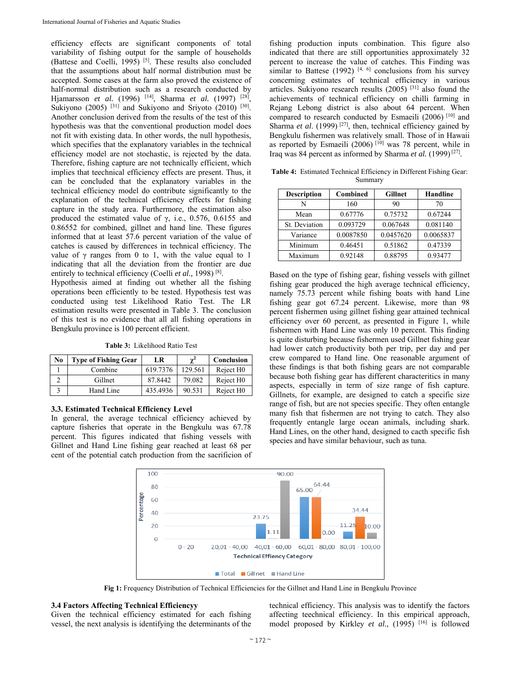efficiency effects are significant components of total variability of fishing output for the sample of households (Battese and Coelli,  $1995$ )<sup>[5]</sup>. These results also concluded that the assumptions about half normal distribution must be accepted. Some cases at the farm also proved the existence of half-normal distribution such as a research conducted by Hjamarsson *et al.* (1996) [14], Sharma *et al.* (1997) [28], Sukiyono (2005) <sup>[31]</sup> and Sukiyono and Sriyoto (2010) <sup>[30]</sup>. Another conclusion derived from the results of the test of this hypothesis was that the conventional production model does not fit with existing data. In other words, the null hypothesis, which specifies that the explanatory variables in the technical efficiency model are not stochastic, is rejected by the data. Therefore, fishing capture are not technically efficient, which implies that teechnical efficiency effects are present. Thus, it can be concluded that the explanatory variables in the technical efficiency model do contribute significantly to the explanation of the technical efficiency effects for fishing capture in the study area. Furthermore, the estimation also produced the estimated value of  $\gamma$ , i.e., 0.576, 0.6155 and 0.86552 for combined, gillnet and hand line. These figures informed that at least 57.6 percent variation of the value of catches is caused by differences in technical efficiency. The value of  $\gamma$  ranges from 0 to 1, with the value equal to 1 indicating that all the deviation from the frontier are due entirely to technical efficiency (Coelli *et al.,* 1998) [8].

Hypothesis aimed at finding out whether all the fishing operations been efficiently to be tested. Hypothesis test was conducted using test Likelihood Ratio Test. The LR estimation results were presented in Table 3. The conclusion of this test is no evidence that all all fishing operations in Bengkulu province is 100 percent efficient.

**Table 3:** Likelihood Ratio Test

| No | <b>Type of Fishing Gear</b> | LR       | $\gamma^2$ | Conclusion            |
|----|-----------------------------|----------|------------|-----------------------|
|    | Combine                     | 619.7376 | 129.561    | Reject H <sub>0</sub> |
|    | Gillnet                     | 87.8442  | 79.082     | Reject H <sub>0</sub> |
|    | Hand Line                   | 435.4936 | 90.531     | Reject H <sub>0</sub> |

### **3.3. Estimated Technical Efficiency Level**

In general, the average technical efficiency achieved by capture fisheries that operate in the Bengkulu was 67.78 percent. This figures indicated that fishing vessels with Gillnet and Hand Line fishing gear reached at least 68 per cent of the potential catch production from the sacrificion of fishing production inputs combination. This figure also indicated that there are still opportunities approximately 32 percent to increase the value of catches. This Finding was similar to Battese  $(1992)$  [4, 6] conclusions from his survey concerning estimates of technical efficiency in various articles. Sukiyono research results (2005) [31] also found the achievements of technical efficiency on chilli farming in Rejang Lebong district is also about 64 percent. When compared to research conducted by Esmaeili (2006) [10] and Sharma *et al.* (1999)<sup>[27]</sup>, then, technical efficiency gained by Bengkulu fishermen was relatively small. Those of in Hawaii as reported by Esmaeili (2006)<sup>[10]</sup> was 78 percent, while in Iraq was 84 percent as informed by Sharma *et al.* (1999) [27].

**Table 4:** Estimated Technical Efficiency in Different Fishing Gear: Summary

| <b>Description</b> | Combined  | <b>Gillnet</b> | <b>Handline</b> |  |
|--------------------|-----------|----------------|-----------------|--|
| N                  | 160       | 90             | 70              |  |
| Mean               | 0.67776   | 0.75732        | 0.67244         |  |
| St. Deviation      | 0.093729  | 0.067648       | 0.081140        |  |
| Variance           | 0.0087850 | 0.0457620      | 0.0065837       |  |
| Minimum            | 0.46451   | 0.51862        | 0.47339         |  |
| Maximum            | 0.92148   | 0.88795        | 0.93477         |  |

Based on the type of fishing gear, fishing vessels with gillnet fishing gear produced the high average technical efficiency, namely 75.73 percent while fishing boats with hand Line fishing gear got 67.24 percent. Likewise, more than 98 percent fishermen using gillnet fishing gear attained technical efficiency over 60 percent, as presented in Figure 1, while fishermen with Hand Line was only 10 percent. This finding is quite disturbing because fishermen used Gillnet fishing gear had lower catch productivity both per trip, per day and per crew compared to Hand line. One reasonable argument of these findings is that both fishing gears are not comparable because both fishing gear has different characteritics in many aspects, especially in term of size range of fish capture. Gillnets, for example, are designed to catch a specific size range of fish, but are not species specific. They often entangle many fish that fishermen are not trying to catch. They also frequently entangle large ocean animals, including shark. Hand Lines, on the other hand, designed to cacth specific fish species and have similar behaviour, such as tuna.



**Fig 1:** Frequency Distribution of Technical Efficiencies for the Gillnet and Hand Line in Bengkulu Province

#### **3.4 Factors Affecting Technical Efficiencyy**

Given the technical efficiency estimated for each fishing vessel, the next analysis is identifying the determinants of the technical efficiency. This analysis was to identify the factors affecting teechnical efficiency. In this empirical approach, model proposed by Kirkley *et al.*, (1995)<sup>[16]</sup> is followed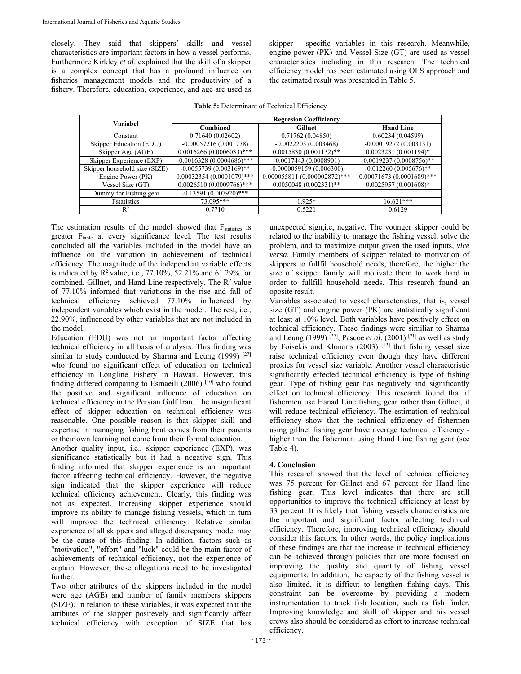closely. They said that skippers' skills and vessel characteristics are important factors in how a vessel performs. Furthermore Kirkley *et al*. explained that the skill of a skipper is a complex concept that has a profound influence on fisheries management models and the productivity of a fishery. Therefore, education, experience, and age are used as

skipper - specific variables in this research. Meanwhile, engine power (PK) and Vessel Size (GT) are used as vessel characteristics including in this research. The technical efficiency model has been estimated using OLS approach and the estimated result was presented in Table 5.

| <b>Table 5: Determinant of Technical Efficiency</b> |  |
|-----------------------------------------------------|--|
|-----------------------------------------------------|--|

| <b>Variabel</b>               | <b>Regresion Coefficiency</b> |                                |                             |  |  |
|-------------------------------|-------------------------------|--------------------------------|-----------------------------|--|--|
|                               | Combined                      | Gillnet                        | <b>Hand Line</b>            |  |  |
| Constant                      | 0.71640(0.02602)              | 0.71762(0.04850)               | 0.60234(0.04599)            |  |  |
| Skipper Education (EDU)       | $-0.00057216(0.001778)$       | $-0.0022203(0.003468)$         | $-0.00019272(0.003131)$     |  |  |
| Skipper Age (AGE)             | $0.0016266(0.0006033)$ ***    | $0.0015830(0.001132)$ **       | $0.0023231(0.001194)$ *     |  |  |
| Skipper Experience (EXP)      | $-0.0016328(0.0004686)$ ***   | $-0.0017443(0.0008901)$        | $-0.0019237(0.0008756)$ **  |  |  |
| Skipper household size (SIZE) | $-0.0055739(0.003169)$ **     | $-0.0000059159(0.006300)$      | $-0.012260(0.005676)$ **    |  |  |
| Engine Power (PK)             | $0.00032354(0.0001079)$ ***   | $0.000055811(0.000002872)$ *** | $0.00071673(0.0001689)$ *** |  |  |
| Vessel Size (GT)              | $0.0026510(0.0009766)$ ***    | $0.0050048(0.002331)$ **       | $0.0025957(0.001608)*$      |  |  |
| Dummy for Fishing gear        | $-0.13591(0.007920)$ ***      |                                |                             |  |  |
| <b>F</b> statistics           | 73.095***                     | $1.925*$                       | $16.621***$                 |  |  |
| $R^2$                         | 0.7710                        | 0.5221                         | 0.6129                      |  |  |

The estimation results of the model showed that  $F_{\text{statistics}}$  is greater F<sub>table</sub> at every significance level. The test results concluded all the variables included in the model have an influence on the variation in achievement of technical efficiency. The magnitude of the independent variable effects is indicated by  $R^2$  value, i.e., 77.10%, 52.21% and 61.29% for combined, Gillnet, and Hand Line respectively. The  $R^2$  value of 77.10% informed that variations in the rise and fall of technical efficiency achieved 77.10% influenced by independent variables which exist in the model. The rest, i.e., 22.90%, influenced by other variables that are not included in the model.

Education (EDU) was not an important factor affecting technical efficiency in all basis of analysis. This finding was similar to study conducted by Sharma and Leung (1999)<sup>[27]</sup> who found no significant effect of education on technical efficiency in Longline Fishery in Hawaii. However, this finding differed comparing to Esmaeili (2006) [10] who found the positive and significant influence of education on technical efficiency in the Persian Gulf Iran. The insignificant effect of skipper education on technical efficiency was reasonable. One possible reason is that skipper skill and expertise in managing fishing boat comes from their parents or their own learning not come from their formal education.

Another quality input, i.e., skipper experience (EXP), was significance statistically but it had a negative sign. This finding informed that skipper experience is an important factor affecting technical efficiency. However, the negative sign indicated that the skipper experience will reduce technical efficiency achievement. Clearly, this finding was not as expected. Increasing skipper experience should improve its ability to manage fishing vessels, which in turn will improve the technical efficiency. Relative similar experience of all skippers and alleged discrepancy model may be the cause of this finding. In addition, factors such as "motivation", "effort" and "luck" could be the main factor of achievements of technical efficiency, not the experience of captain. However, these allegations need to be investigated further.

Two other atributes of the skippers included in the model were age (AGE) and number of family members skippers (SIZE). In relation to these variables, it was expected that the atributes of the skipper positevely and significantly affect technical efficiency with exception of SIZE that has

unexpected sign,i.e, negative. The younger skipper could be related to the inability to manage the fishing vessel, solve the problem, and to maximize output given the used inputs, *vice versa*. Family members of skipper related to motivation of skippers to fullfil household needs, therefore, the higher the size of skipper family will motivate them to work hard in order to fullfill household needs. This research found an oposite result.

Variables associated to vessel characteristics, that is, vessel size (GT) and engine power (PK) are statistically significant at least at 10% level. Both variables have positively effect on technical efficiency. These findings were similiar to Sharma and Leung (1999) [27], Pascoe *et al*. (2001) [21] as well as study by Foisekis and Klonaris (2003) [12] that fishing vessel size raise technical efficiency even though they have different proxies for vessel size variable. Another vessel characteristic significantly effected technical efficiency is type of fishing gear. Type of fishing gear has negatively and significantly effect on technical efficiency. This research found that if fishermen use Hanad Line fishing gear rather than Gillnet, it will reduce technical efficiency. The estimation of technical efficiency show that the technical efficiency of fishermen using gillnet fishing gear have average technical efficiency higher than the fisherman using Hand Line fishing gear (see Table 4).

# **4. Conclusion**

This research showed that the level of technical efficiency was 75 percent for Gillnet and 67 percent for Hand line fishing gear. This level indicates that there are still opportunities to improve the technical efficiency at least by 33 percent. It is likely that fishing vessels characteristics are the important and significant factor affecting technical efficiency. Therefore, improving technical efficiency should consider this factors. In other words, the policy implications of these findings are that the increase in technical efficiency can be achieved through policies that are more focused on improving the quality and quantity of fishing vessel equipments. In addition, the capacity of the fishing vessel is also limited, it is difficut to lengthen fishing days. This constraint can be overcome by providing a modern instrumentation to track fish location, such as fish finder. Improving knowledge and skill of skipper and his vessel crews also should be considered as effort to increase technical efficiency.